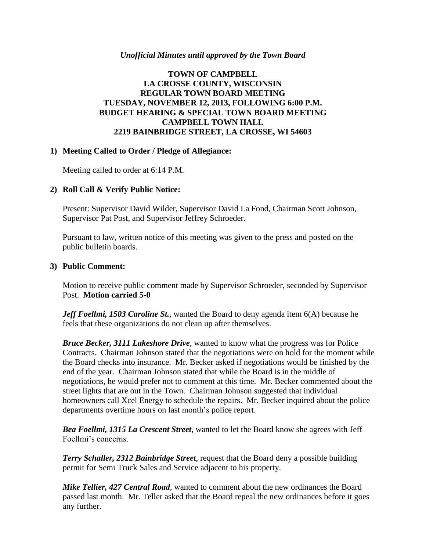## *Unofficial Minutes until approved by the Town Board*

## **TOWN OF CAMPBELL LA CROSSE COUNTY, WISCONSIN REGULAR TOWN BOARD MEETING TUESDAY, NOVEMBER 12, 2013, FOLLOWING 6:00 P.M. BUDGET HEARING & SPECIAL TOWN BOARD MEETING CAMPBELL TOWN HALL 2219 BAINBRIDGE STREET, LA CROSSE, WI 54603**

### **1) Meeting Called to Order / Pledge of Allegiance:**

Meeting called to order at 6:14 P.M.

## **2) Roll Call & Verify Public Notice:**

Present: Supervisor David Wilder, Supervisor David La Fond, Chairman Scott Johnson, Supervisor Pat Post, and Supervisor Jeffrey Schroeder.

Pursuant to law, written notice of this meeting was given to the press and posted on the public bulletin boards.

### **3) Public Comment:**

Motion to receive public comment made by Supervisor Schroeder, seconded by Supervisor Post. **Motion carried 5-0**

*Jeff Foellmi, 1503 Caroline St.*, wanted the Board to deny agenda item 6(A) because he feels that these organizations do not clean up after themselves.

*Bruce Becker, 3111 Lakeshore Drive*, wanted to know what the progress was for Police Contracts. Chairman Johnson stated that the negotiations were on hold for the moment while the Board checks into insurance. Mr. Becker asked if negotiations would be finished by the end of the year. Chairman Johnson stated that while the Board is in the middle of negotiations, he would prefer not to comment at this time. Mr. Becker commented about the street lights that are out in the Town. Chairman Johnson suggested that individual homeowners call Xcel Energy to schedule the repairs. Mr. Becker inquired about the police departments overtime hours on last month's police report.

*Bea Foellmi, 1315 La Crescent Street*, wanted to let the Board know she agrees with Jeff Foellmi's concerns.

*Terry Schaller, 2312 Bainbridge Street*, request that the Board deny a possible building permit for Semi Truck Sales and Service adjacent to his property.

*Mike Tellier, 427 Central Road*, wanted to comment about the new ordinances the Board passed last month. Mr. Teller asked that the Board repeal the new ordinances before it goes any further.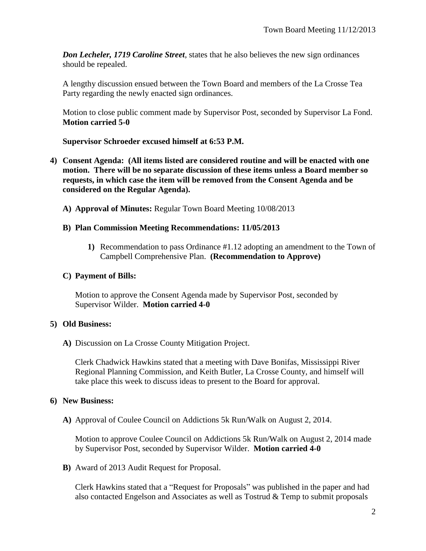*Don Lecheler, 1719 Caroline Street*, states that he also believes the new sign ordinances should be repealed.

A lengthy discussion ensued between the Town Board and members of the La Crosse Tea Party regarding the newly enacted sign ordinances.

Motion to close public comment made by Supervisor Post, seconded by Supervisor La Fond. **Motion carried 5-0**

## **Supervisor Schroeder excused himself at 6:53 P.M.**

- **4) Consent Agenda: (All items listed are considered routine and will be enacted with one motion. There will be no separate discussion of these items unless a Board member so requests, in which case the item will be removed from the Consent Agenda and be considered on the Regular Agenda).**
	- **A) Approval of Minutes:** Regular Town Board Meeting 10/08/2013

## **B) Plan Commission Meeting Recommendations: 11/05/2013**

**1)** Recommendation to pass Ordinance #1.12 adopting an amendment to the Town of Campbell Comprehensive Plan. **(Recommendation to Approve)**

## **C) Payment of Bills:**

Motion to approve the Consent Agenda made by Supervisor Post, seconded by Supervisor Wilder. **Motion carried 4-0**

### **5) Old Business:**

**A)** Discussion on La Crosse County Mitigation Project.

Clerk Chadwick Hawkins stated that a meeting with Dave Bonifas, Mississippi River Regional Planning Commission, and Keith Butler, La Crosse County, and himself will take place this week to discuss ideas to present to the Board for approval.

### **6) New Business:**

**A)** Approval of Coulee Council on Addictions 5k Run/Walk on August 2, 2014.

Motion to approve Coulee Council on Addictions 5k Run/Walk on August 2, 2014 made by Supervisor Post, seconded by Supervisor Wilder. **Motion carried 4-0**

**B)** Award of 2013 Audit Request for Proposal.

Clerk Hawkins stated that a "Request for Proposals" was published in the paper and had also contacted Engelson and Associates as well as Tostrud & Temp to submit proposals